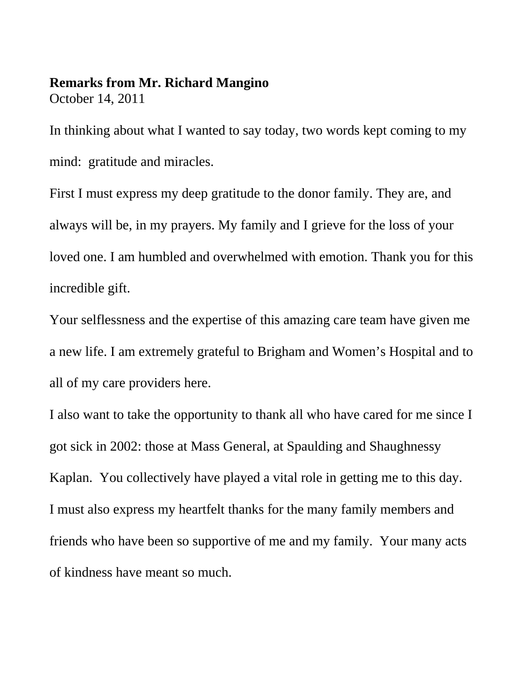## **Remarks from Mr. Richard Mangino** October 14, 2011

In thinking about what I wanted to say today, two words kept coming to my mind: gratitude and miracles.

First I must express my deep gratitude to the donor family. They are, and always will be, in my prayers. My family and I grieve for the loss of your loved one. I am humbled and overwhelmed with emotion. Thank you for this incredible gift.

Your selflessness and the expertise of this amazing care team have given me a new life. I am extremely grateful to Brigham and Women's Hospital and to all of my care providers here.

I also want to take the opportunity to thank all who have cared for me since I got sick in 2002: those at Mass General, at Spaulding and Shaughnessy Kaplan. You collectively have played a vital role in getting me to this day. I must also express my heartfelt thanks for the many family members and friends who have been so supportive of me and my family. Your many acts of kindness have meant so much.